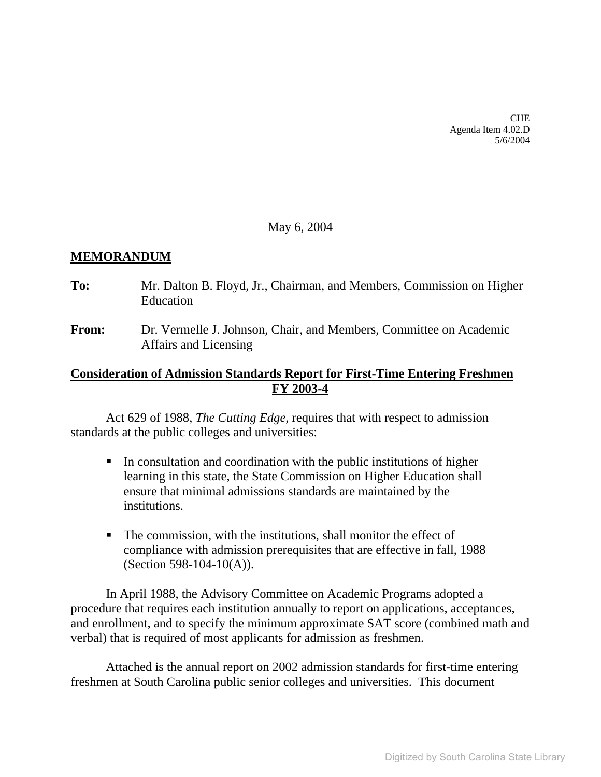CHE Agenda Item 4.02.D 5/6/2004

May 6, 2004

# **MEMORANDUM**

- **To:** Mr. Dalton B. Floyd, Jr., Chairman, and Members, Commission on Higher Education
- **From:** Dr. Vermelle J. Johnson, Chair, and Members, Committee on Academic Affairs and Licensing

# **Consideration of Admission Standards Report for First-Time Entering Freshmen FY 2003-4**

Act 629 of 1988, *The Cutting Edge*, requires that with respect to admission standards at the public colleges and universities:

- In consultation and coordination with the public institutions of higher learning in this state, the State Commission on Higher Education shall ensure that minimal admissions standards are maintained by the institutions.
- The commission, with the institutions, shall monitor the effect of compliance with admission prerequisites that are effective in fall, 1988 (Section 598-104-10(A)).

In April 1988, the Advisory Committee on Academic Programs adopted a procedure that requires each institution annually to report on applications, acceptances, and enrollment, and to specify the minimum approximate SAT score (combined math and verbal) that is required of most applicants for admission as freshmen.

Attached is the annual report on 2002 admission standards for first-time entering freshmen at South Carolina public senior colleges and universities. This document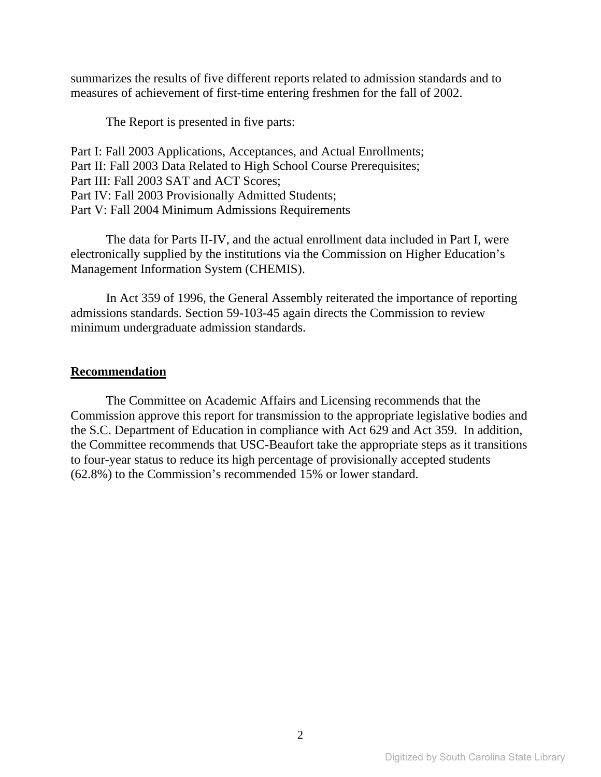summarizes the results of five different reports related to admission standards and to measures of achievement of first-time entering freshmen for the fall of 2002.

The Report is presented in five parts:

Part I: Fall 2003 Applications, Acceptances, and Actual Enrollments; Part II: Fall 2003 Data Related to High School Course Prerequisites; Part III: Fall 2003 SAT and ACT Scores: Part IV: Fall 2003 Provisionally Admitted Students; Part V: Fall 2004 Minimum Admissions Requirements

The data for Parts II-IV, and the actual enrollment data included in Part I, were electronically supplied by the institutions via the Commission on Higher Education's Management Information System (CHEMIS).

In Act 359 of 1996, the General Assembly reiterated the importance of reporting admissions standards. Section 59-103-45 again directs the Commission to review minimum undergraduate admission standards.

#### **Recommendation**

 The Committee on Academic Affairs and Licensing recommends that the Commission approve this report for transmission to the appropriate legislative bodies and the S.C. Department of Education in compliance with Act 629 and Act 359. In addition, the Committee recommends that USC-Beaufort take the appropriate steps as it transitions to four-year status to reduce its high percentage of provisionally accepted students (62.8%) to the Commission's recommended 15% or lower standard.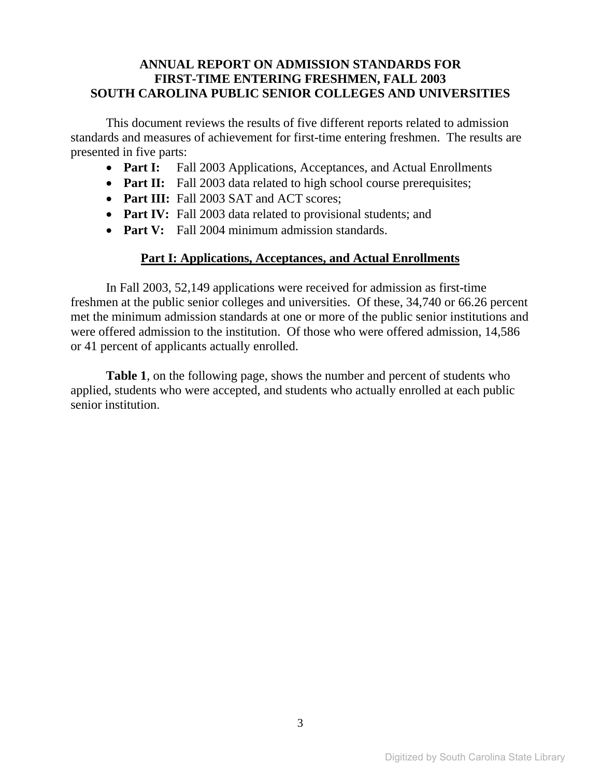# **ANNUAL REPORT ON ADMISSION STANDARDS FOR FIRST-TIME ENTERING FRESHMEN, FALL 2003 SOUTH CAROLINA PUBLIC SENIOR COLLEGES AND UNIVERSITIES**

This document reviews the results of five different reports related to admission standards and measures of achievement for first-time entering freshmen. The results are presented in five parts:

- **Part I:** Fall 2003 Applications, Acceptances, and Actual Enrollments
- **Part II:** Fall 2003 data related to high school course prerequisites;
- **Part III:** Fall 2003 SAT and ACT scores;
- **Part IV:** Fall 2003 data related to provisional students; and
- **Part V:** Fall 2004 minimum admission standards.

### **Part I: Applications, Acceptances, and Actual Enrollments**

In Fall 2003, 52,149 applications were received for admission as first-time freshmen at the public senior colleges and universities. Of these, 34,740 or 66.26 percent met the minimum admission standards at one or more of the public senior institutions and were offered admission to the institution. Of those who were offered admission, 14,586 or 41 percent of applicants actually enrolled.

**Table 1**, on the following page, shows the number and percent of students who applied, students who were accepted, and students who actually enrolled at each public senior institution.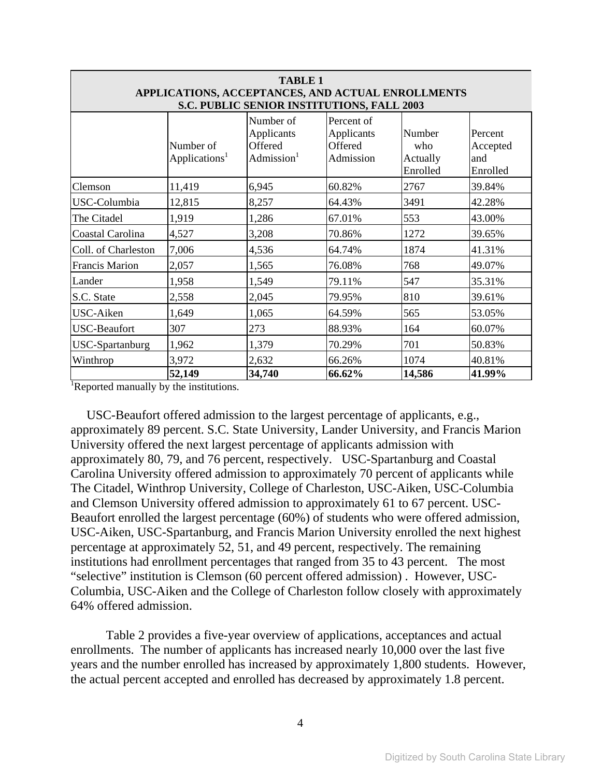| <b>TABLE 1</b><br>APPLICATIONS, ACCEPTANCES, AND ACTUAL ENROLLMENTS<br>S.C. PUBLIC SENIOR INSTITUTIONS, FALL 2003 |                                        |                                                     |                                                  |                                       |                                        |  |  |
|-------------------------------------------------------------------------------------------------------------------|----------------------------------------|-----------------------------------------------------|--------------------------------------------------|---------------------------------------|----------------------------------------|--|--|
|                                                                                                                   | Number of<br>Applications <sup>1</sup> | Number of<br>Applicants<br>Offered<br>Admission $1$ | Percent of<br>Applicants<br>Offered<br>Admission | Number<br>who<br>Actually<br>Enrolled | Percent<br>Accepted<br>and<br>Enrolled |  |  |
| Clemson                                                                                                           | 11,419                                 | 6,945                                               | 60.82%                                           | 2767                                  | 39.84%                                 |  |  |
| USC-Columbia                                                                                                      | 12,815                                 | 8,257                                               | 64.43%                                           | 3491                                  | 42.28%                                 |  |  |
| The Citadel                                                                                                       | 1,919                                  | 1,286                                               | 67.01%                                           | 553                                   | 43.00%                                 |  |  |
| Coastal Carolina                                                                                                  | 4,527                                  | 3,208                                               | 70.86%                                           | 1272                                  | 39.65%                                 |  |  |
| Coll. of Charleston                                                                                               | 7,006                                  | 4,536                                               | 64.74%                                           | 1874                                  | 41.31%                                 |  |  |
| <b>Francis Marion</b>                                                                                             | 2,057                                  | 1,565                                               | 76.08%                                           | 768                                   | 49.07%                                 |  |  |
| Lander                                                                                                            | 1,958                                  | 1,549                                               | 79.11%                                           | 547                                   | 35.31%                                 |  |  |
| S.C. State                                                                                                        | 2,558                                  | 2,045                                               | 79.95%                                           | 810                                   | 39.61%                                 |  |  |
| <b>USC-Aiken</b>                                                                                                  | 1,649                                  | 1,065                                               | 64.59%                                           | 565                                   | 53.05%                                 |  |  |
| <b>USC-Beaufort</b>                                                                                               | 307                                    | 273                                                 | 88.93%                                           | 164                                   | 60.07%                                 |  |  |
| <b>USC-Spartanburg</b>                                                                                            | 1,962                                  | 1,379                                               | 70.29%                                           | 701                                   | 50.83%                                 |  |  |
| Winthrop                                                                                                          | 3,972                                  | 2,632                                               | 66.26%                                           | 1074                                  | 40.81%                                 |  |  |
|                                                                                                                   | 52,149                                 | 34,740                                              | 66.62%                                           | 14,586                                | 41.99%                                 |  |  |

<sup>1</sup>Reported manually by the institutions.

 USC-Beaufort offered admission to the largest percentage of applicants, e.g., approximately 89 percent. S.C. State University, Lander University, and Francis Marion University offered the next largest percentage of applicants admission with approximately 80, 79, and 76 percent, respectively. USC-Spartanburg and Coastal Carolina University offered admission to approximately 70 percent of applicants while The Citadel, Winthrop University, College of Charleston, USC-Aiken, USC-Columbia and Clemson University offered admission to approximately 61 to 67 percent. USC-Beaufort enrolled the largest percentage (60%) of students who were offered admission, USC-Aiken, USC-Spartanburg, and Francis Marion University enrolled the next highest percentage at approximately 52, 51, and 49 percent, respectively. The remaining institutions had enrollment percentages that ranged from 35 to 43 percent. The most "selective" institution is Clemson (60 percent offered admission) . However, USC-Columbia, USC-Aiken and the College of Charleston follow closely with approximately 64% offered admission.

 Table 2 provides a five-year overview of applications, acceptances and actual enrollments. The number of applicants has increased nearly 10,000 over the last five years and the number enrolled has increased by approximately 1,800 students. However, the actual percent accepted and enrolled has decreased by approximately 1.8 percent.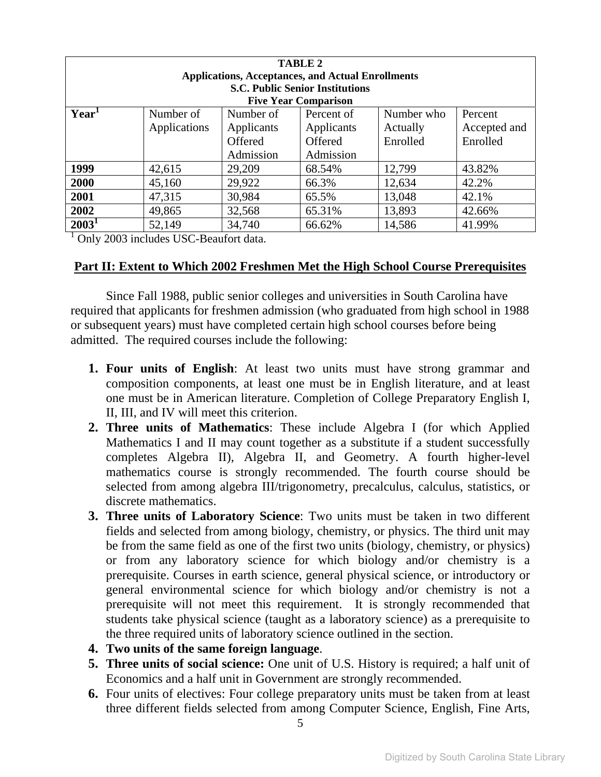| <b>TABLE 2</b>                                           |              |            |                             |            |              |  |  |  |
|----------------------------------------------------------|--------------|------------|-----------------------------|------------|--------------|--|--|--|
| <b>Applications, Acceptances, and Actual Enrollments</b> |              |            |                             |            |              |  |  |  |
| <b>S.C. Public Senior Institutions</b>                   |              |            |                             |            |              |  |  |  |
|                                                          |              |            | <b>Five Year Comparison</b> |            |              |  |  |  |
| Year <sup>1</sup>                                        | Number of    | Number of  | Percent of                  | Number who | Percent      |  |  |  |
|                                                          | Applications | Applicants | Applicants                  | Actually   | Accepted and |  |  |  |
|                                                          |              | Offered    | Offered                     | Enrolled   | Enrolled     |  |  |  |
|                                                          |              | Admission  | Admission                   |            |              |  |  |  |
| 1999                                                     | 42,615       | 29,209     | 68.54%                      | 12,799     | 43.82%       |  |  |  |
| 2000                                                     | 45,160       | 29,922     | 66.3%                       | 12,634     | 42.2%        |  |  |  |
| 2001                                                     | 47,315       | 30,984     | 65.5%                       | 13,048     | 42.1%        |  |  |  |
| 2002                                                     | 49,865       | 32,568     | 65.31%                      | 13,893     | 42.66%       |  |  |  |
| 2003 <sup>1</sup>                                        | 52,149       | 34,740     | 66.62%                      | 14,586     | 41.99%       |  |  |  |

<sup>1</sup> Only 2003 includes USC-Beaufort data.

### **Part II: Extent to Which 2002 Freshmen Met the High School Course Prerequisites**

Since Fall 1988, public senior colleges and universities in South Carolina have required that applicants for freshmen admission (who graduated from high school in 1988 or subsequent years) must have completed certain high school courses before being admitted. The required courses include the following:

- **1. Four units of English**: At least two units must have strong grammar and composition components, at least one must be in English literature, and at least one must be in American literature. Completion of College Preparatory English I, II, III, and IV will meet this criterion.
- **2. Three units of Mathematics**: These include Algebra I (for which Applied Mathematics I and II may count together as a substitute if a student successfully completes Algebra II), Algebra II, and Geometry. A fourth higher-level mathematics course is strongly recommended. The fourth course should be selected from among algebra III/trigonometry, precalculus, calculus, statistics, or discrete mathematics.
- **3. Three units of Laboratory Science**: Two units must be taken in two different fields and selected from among biology, chemistry, or physics. The third unit may be from the same field as one of the first two units (biology, chemistry, or physics) or from any laboratory science for which biology and/or chemistry is a prerequisite. Courses in earth science, general physical science, or introductory or general environmental science for which biology and/or chemistry is not a prerequisite will not meet this requirement. It is strongly recommended that students take physical science (taught as a laboratory science) as a prerequisite to the three required units of laboratory science outlined in the section.
- **4. Two units of the same foreign language**.
- **5. Three units of social science:** One unit of U.S. History is required; a half unit of Economics and a half unit in Government are strongly recommended.
- **6.** Four units of electives: Four college preparatory units must be taken from at least three different fields selected from among Computer Science, English, Fine Arts,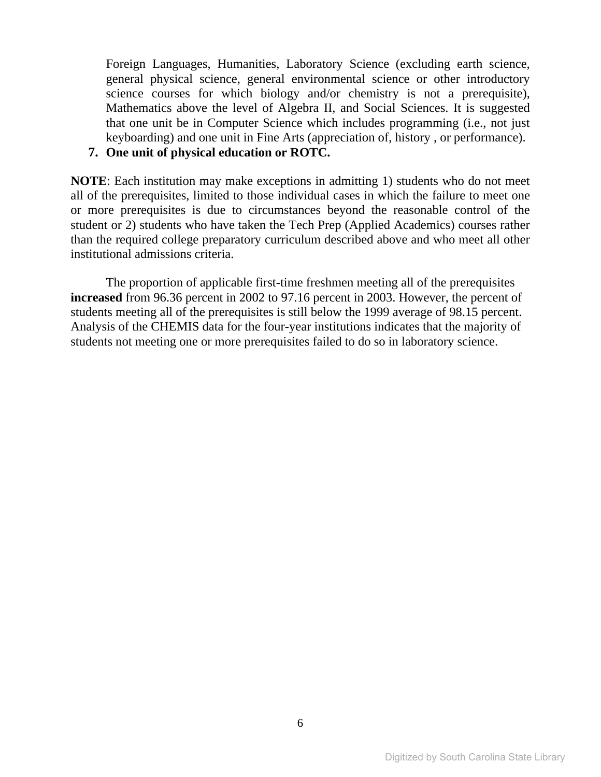Foreign Languages, Humanities, Laboratory Science (excluding earth science, general physical science, general environmental science or other introductory science courses for which biology and/or chemistry is not a prerequisite), Mathematics above the level of Algebra II, and Social Sciences. It is suggested that one unit be in Computer Science which includes programming (i.e., not just keyboarding) and one unit in Fine Arts (appreciation of, history , or performance).

# **7. One unit of physical education or ROTC.**

**NOTE**: Each institution may make exceptions in admitting 1) students who do not meet all of the prerequisites, limited to those individual cases in which the failure to meet one or more prerequisites is due to circumstances beyond the reasonable control of the student or 2) students who have taken the Tech Prep (Applied Academics) courses rather than the required college preparatory curriculum described above and who meet all other institutional admissions criteria.

The proportion of applicable first-time freshmen meeting all of the prerequisites **increased** from 96.36 percent in 2002 to 97.16 percent in 2003. However, the percent of students meeting all of the prerequisites is still below the 1999 average of 98.15 percent. Analysis of the CHEMIS data for the four-year institutions indicates that the majority of students not meeting one or more prerequisites failed to do so in laboratory science.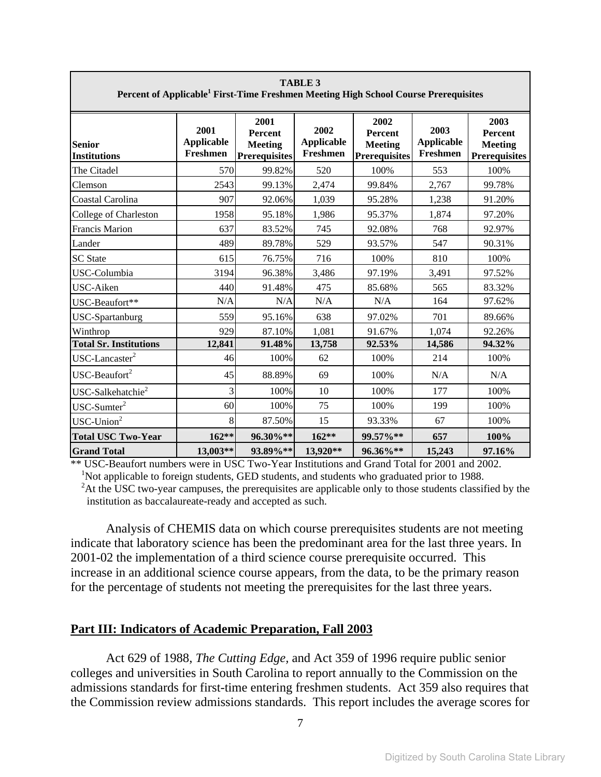| <b>TABLE 3</b><br>Percent of Applicable <sup>1</sup> First-Time Freshmen Meeting High School Course Prerequisites |                                       |                                                           |                                       |                                                           |                                       |                                                                  |  |  |  |
|-------------------------------------------------------------------------------------------------------------------|---------------------------------------|-----------------------------------------------------------|---------------------------------------|-----------------------------------------------------------|---------------------------------------|------------------------------------------------------------------|--|--|--|
| <b>Senior</b><br><b>Institutions</b>                                                                              | 2001<br><b>Applicable</b><br>Freshmen | 2001<br>Percent<br><b>Meeting</b><br><b>Prerequisites</b> | 2002<br><b>Applicable</b><br>Freshmen | 2002<br>Percent<br><b>Meeting</b><br><b>Prerequisites</b> | 2003<br><b>Applicable</b><br>Freshmen | 2003<br><b>Percent</b><br><b>Meeting</b><br><b>Prerequisites</b> |  |  |  |
| The Citadel                                                                                                       | 570                                   | 99.82%                                                    | 520                                   | 100%                                                      | 553                                   | 100%                                                             |  |  |  |
| Clemson                                                                                                           | 2543                                  | 99.13%                                                    | 2,474                                 | 99.84%                                                    | 2,767                                 | 99.78%                                                           |  |  |  |
| Coastal Carolina                                                                                                  | 907                                   | 92.06%                                                    | 1,039                                 | 95.28%                                                    | 1,238                                 | 91.20%                                                           |  |  |  |
| College of Charleston                                                                                             | 1958                                  | 95.18%                                                    | 1,986                                 | 95.37%                                                    | 1,874                                 | 97.20%                                                           |  |  |  |
| <b>Francis Marion</b>                                                                                             | 637                                   | 83.52%                                                    | 745                                   | 92.08%                                                    | 768                                   | 92.97%                                                           |  |  |  |
| Lander                                                                                                            | 489                                   | 89.78%                                                    | 529                                   | 93.57%                                                    | 547                                   | 90.31%                                                           |  |  |  |
| <b>SC</b> State                                                                                                   | 615                                   | 76.75%                                                    | 716                                   | 100%                                                      | 810                                   | 100%                                                             |  |  |  |
| USC-Columbia                                                                                                      | 3194                                  | 96.38%                                                    | 3,486                                 | 97.19%                                                    | 3,491                                 | 97.52%                                                           |  |  |  |
| USC-Aiken                                                                                                         | 440                                   | 91.48%                                                    | 475                                   | 85.68%                                                    | 565                                   | 83.32%                                                           |  |  |  |
| USC-Beaufort**                                                                                                    | N/A                                   | N/A                                                       | N/A                                   | N/A                                                       | 164                                   | 97.62%                                                           |  |  |  |
| <b>USC-Spartanburg</b>                                                                                            | 559                                   | 95.16%                                                    | 638                                   | 97.02%                                                    | 701                                   | 89.66%                                                           |  |  |  |
| Winthrop                                                                                                          | 929                                   | 87.10%                                                    | 1,081                                 | 91.67%                                                    | 1,074                                 | 92.26%                                                           |  |  |  |
| <b>Total Sr. Institutions</b>                                                                                     | 12,841                                | 91.48%                                                    | 13,758                                | 92.53%                                                    | 14,586                                | 94.32%                                                           |  |  |  |
| $USC$ -Lancaster <sup>2</sup>                                                                                     | 46                                    | 100%                                                      | 62                                    | 100%                                                      | 214                                   | 100%                                                             |  |  |  |
| $USC-Beaufort2$                                                                                                   | 45                                    | 88.89%                                                    | 69                                    | 100%                                                      | N/A                                   | N/A                                                              |  |  |  |
| USC-Salkehatchie <sup>2</sup>                                                                                     | 3                                     | 100%                                                      | 10                                    | 100%                                                      | 177                                   | 100%                                                             |  |  |  |
| $USC-Sumter2$                                                                                                     | 60                                    | 100%                                                      | 75                                    | 100%                                                      | 199                                   | 100%                                                             |  |  |  |
| $USC-Union2$                                                                                                      | 8                                     | 87.50%                                                    | 15                                    | 93.33%                                                    | 67                                    | 100%                                                             |  |  |  |
| <b>Total USC Two-Year</b>                                                                                         | $162**$                               | 96.30%**                                                  | $162**$                               | 99.57%**                                                  | 657                                   | 100%                                                             |  |  |  |
| <b>Grand Total</b>                                                                                                | 13,003**                              | 93.89%**                                                  | 13,920**                              | 96.36%**                                                  | 15,243                                | 97.16%                                                           |  |  |  |

\*\* USC-Beaufort numbers were in USC Two-Year Institutions and Grand Total for 2001 and 2002. <sup>1</sup>Not applicable to foreign students, GED students, and students who graduated prior to 1988.

<sup>2</sup>At the USC two-year campuses, the prerequisites are applicable only to those students classified by the institution as baccalaureate-ready and accepted as such.

Analysis of CHEMIS data on which course prerequisites students are not meeting indicate that laboratory science has been the predominant area for the last three years. In 2001-02 the implementation of a third science course prerequisite occurred. This increase in an additional science course appears, from the data, to be the primary reason for the percentage of students not meeting the prerequisites for the last three years.

### **Part III: Indicators of Academic Preparation, Fall 2003**

Act 629 of 1988, *The Cutting Edge,* and Act 359 of 1996 require public senior colleges and universities in South Carolina to report annually to the Commission on the admissions standards for first-time entering freshmen students. Act 359 also requires that the Commission review admissions standards. This report includes the average scores for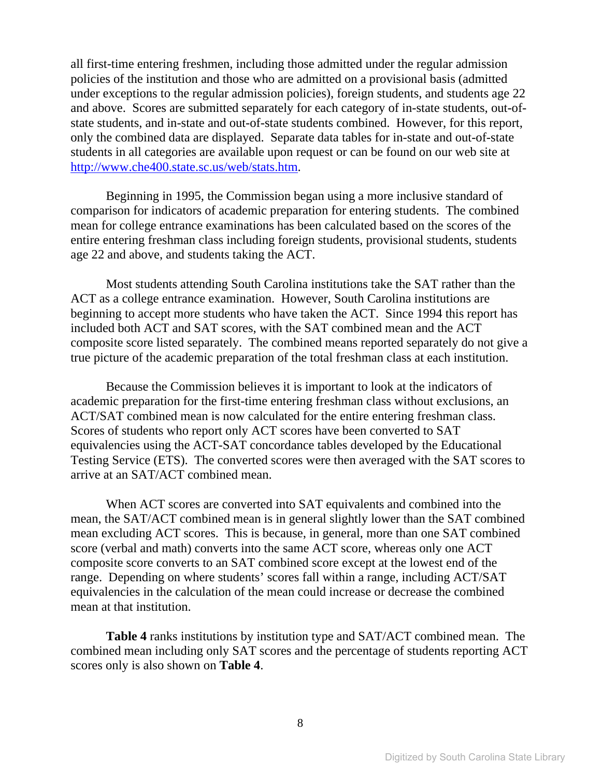all first-time entering freshmen, including those admitted under the regular admission policies of the institution and those who are admitted on a provisional basis (admitted under exceptions to the regular admission policies), foreign students, and students age 22 and above. Scores are submitted separately for each category of in-state students, out-ofstate students, and in-state and out-of-state students combined. However, for this report, only the combined data are displayed. Separate data tables for in-state and out-of-state students in all categories are available upon request or can be found on our web site at <http://www.che400.state.sc.us/web/stats.htm>.

Beginning in 1995, the Commission began using a more inclusive standard of comparison for indicators of academic preparation for entering students. The combined mean for college entrance examinations has been calculated based on the scores of the entire entering freshman class including foreign students, provisional students, students age 22 and above, and students taking the ACT.

Most students attending South Carolina institutions take the SAT rather than the ACT as a college entrance examination. However, South Carolina institutions are beginning to accept more students who have taken the ACT. Since 1994 this report has included both ACT and SAT scores, with the SAT combined mean and the ACT composite score listed separately. The combined means reported separately do not give a true picture of the academic preparation of the total freshman class at each institution.

Because the Commission believes it is important to look at the indicators of academic preparation for the first-time entering freshman class without exclusions, an ACT/SAT combined mean is now calculated for the entire entering freshman class. Scores of students who report only ACT scores have been converted to SAT equivalencies using the ACT-SAT concordance tables developed by the Educational Testing Service (ETS). The converted scores were then averaged with the SAT scores to arrive at an SAT/ACT combined mean.

When ACT scores are converted into SAT equivalents and combined into the mean, the SAT/ACT combined mean is in general slightly lower than the SAT combined mean excluding ACT scores. This is because, in general, more than one SAT combined score (verbal and math) converts into the same ACT score, whereas only one ACT composite score converts to an SAT combined score except at the lowest end of the range. Depending on where students' scores fall within a range, including ACT/SAT equivalencies in the calculation of the mean could increase or decrease the combined mean at that institution.

**Table 4** ranks institutions by institution type and SAT/ACT combined mean. The combined mean including only SAT scores and the percentage of students reporting ACT scores only is also shown on **Table 4**.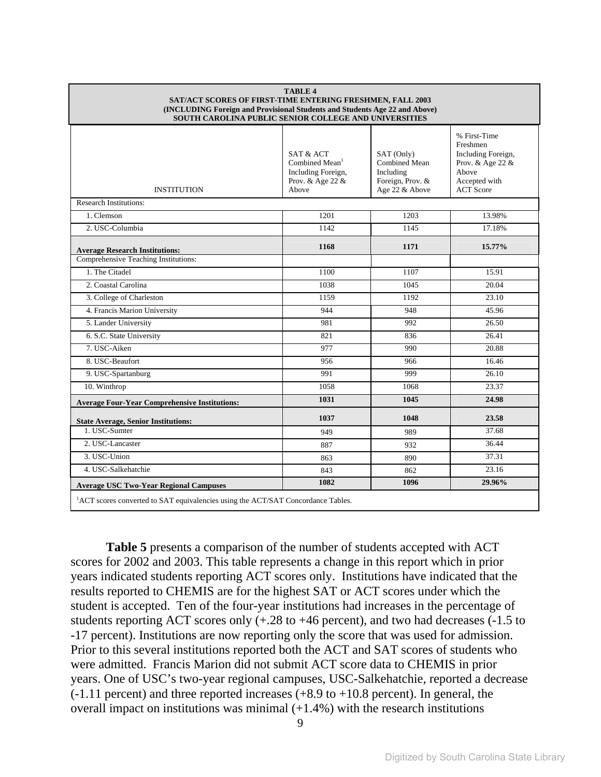| <b>TABLE 4</b><br>SAT/ACT SCORES OF FIRST-TIME ENTERING FRESHMEN, FALL 2003<br>(INCLUDING Foreign and Provisional Students and Students Age 22 and Above)<br>SOUTH CAROLINA PUBLIC SENIOR COLLEGE AND UNIVERSITIES |                                                                                            |                                                                                |                                                                                                                  |  |  |  |
|--------------------------------------------------------------------------------------------------------------------------------------------------------------------------------------------------------------------|--------------------------------------------------------------------------------------------|--------------------------------------------------------------------------------|------------------------------------------------------------------------------------------------------------------|--|--|--|
| <b>INSTITUTION</b>                                                                                                                                                                                                 | SAT & ACT<br>Combined Mean <sup>1</sup><br>Including Foreign,<br>Prov. & Age 22 &<br>Above | SAT (Only)<br>Combined Mean<br>Including<br>Foreign, Prov. &<br>Age 22 & Above | % First-Time<br>Freshmen<br>Including Foreign,<br>Prov. & Age 22 &<br>Above<br>Accepted with<br><b>ACT</b> Score |  |  |  |
| <b>Research Institutions:</b>                                                                                                                                                                                      |                                                                                            |                                                                                |                                                                                                                  |  |  |  |
| 1. Clemson                                                                                                                                                                                                         | 1201                                                                                       | 1203                                                                           | 13.98%                                                                                                           |  |  |  |
| 2. USC-Columbia                                                                                                                                                                                                    | 1142                                                                                       | 1145                                                                           | 17.18%                                                                                                           |  |  |  |
| <b>Average Research Institutions:</b>                                                                                                                                                                              | 1168                                                                                       | 1171                                                                           | 15.77%                                                                                                           |  |  |  |
| Comprehensive Teaching Institutions:                                                                                                                                                                               |                                                                                            |                                                                                |                                                                                                                  |  |  |  |
| 1. The Citadel                                                                                                                                                                                                     | 1100                                                                                       | 1107                                                                           | 15.91                                                                                                            |  |  |  |
| 2. Coastal Carolina                                                                                                                                                                                                | 1038                                                                                       | 1045                                                                           | 20.04                                                                                                            |  |  |  |
| 3. College of Charleston                                                                                                                                                                                           | 1159                                                                                       | 1192                                                                           | 23.10                                                                                                            |  |  |  |
| 4. Francis Marion University                                                                                                                                                                                       | 944                                                                                        | 948                                                                            | 45.96                                                                                                            |  |  |  |
| 5. Lander University                                                                                                                                                                                               | 981                                                                                        | 992                                                                            | 26.50                                                                                                            |  |  |  |
| 6. S.C. State University                                                                                                                                                                                           | 821                                                                                        | 836                                                                            | 26.41                                                                                                            |  |  |  |
| 7. USC-Aiken                                                                                                                                                                                                       | 977                                                                                        | 990                                                                            | 20.88                                                                                                            |  |  |  |
| 8. USC-Beaufort                                                                                                                                                                                                    | 956                                                                                        | 966                                                                            | 16.46                                                                                                            |  |  |  |
| 9. USC-Spartanburg                                                                                                                                                                                                 | 991                                                                                        | 999                                                                            | 26.10                                                                                                            |  |  |  |
| 10. Winthrop                                                                                                                                                                                                       | 1058                                                                                       | 1068                                                                           | 23.37                                                                                                            |  |  |  |
| <b>Average Four-Year Comprehensive Institutions:</b>                                                                                                                                                               | 1031                                                                                       | 1045                                                                           | 24.98                                                                                                            |  |  |  |
|                                                                                                                                                                                                                    | 1037                                                                                       | 1048                                                                           | 23.58                                                                                                            |  |  |  |
| <b>State Average, Senior Institutions:</b><br>1. USC-Sumter                                                                                                                                                        | 949                                                                                        | 989                                                                            | 37.68                                                                                                            |  |  |  |
| 2. USC-Lancaster                                                                                                                                                                                                   | 887                                                                                        | 932                                                                            | 36.44                                                                                                            |  |  |  |
| 3. USC-Union                                                                                                                                                                                                       | 863                                                                                        | 890                                                                            | 37.31                                                                                                            |  |  |  |
| 4. USC-Salkehatchie                                                                                                                                                                                                | 843                                                                                        | 862                                                                            | 23.16                                                                                                            |  |  |  |
|                                                                                                                                                                                                                    | 1082                                                                                       | 1096                                                                           | 29.96%                                                                                                           |  |  |  |
| <b>Average USC Two-Year Regional Campuses</b><br><sup>1</sup> ACT scores converted to SAT equivalencies using the ACT/SAT Concordance Tables.                                                                      |                                                                                            |                                                                                |                                                                                                                  |  |  |  |

**Table 5** presents a comparison of the number of students accepted with ACT scores for 2002 and 2003. This table represents a change in this report which in prior years indicated students reporting ACT scores only. Institutions have indicated that the results reported to CHEMIS are for the highest SAT or ACT scores under which the student is accepted. Ten of the four-year institutions had increases in the percentage of students reporting ACT scores only (+.28 to +46 percent), and two had decreases (-1.5 to -17 percent). Institutions are now reporting only the score that was used for admission. Prior to this several institutions reported both the ACT and SAT scores of students who were admitted. Francis Marion did not submit ACT score data to CHEMIS in prior years. One of USC's two-year regional campuses, USC-Salkehatchie, reported a decrease  $(-1.11$  percent) and three reported increases  $(+8.9$  to  $+10.8$  percent). In general, the overall impact on institutions was minimal  $(+1.4%)$  with the research institutions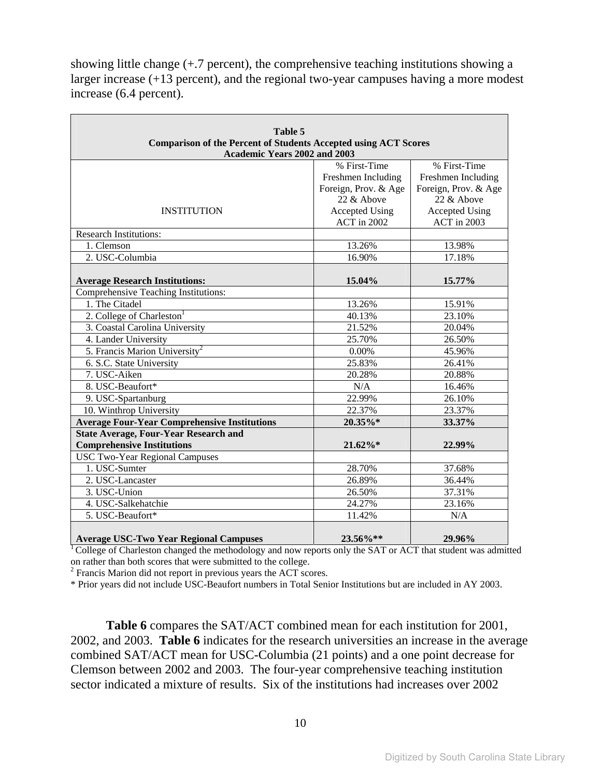showing little change  $(+.7$  percent), the comprehensive teaching institutions showing a larger increase (+13 percent), and the regional two-year campuses having a more modest increase (6.4 percent).

| Table 5<br><b>Comparison of the Percent of Students Accepted using ACT Scores</b><br><b>Academic Years 2002 and 2003</b> |                       |                       |  |  |  |  |
|--------------------------------------------------------------------------------------------------------------------------|-----------------------|-----------------------|--|--|--|--|
|                                                                                                                          | % First-Time          | % First-Time          |  |  |  |  |
|                                                                                                                          | Freshmen Including    | Freshmen Including    |  |  |  |  |
|                                                                                                                          | Foreign, Prov. & Age  | Foreign, Prov. & Age  |  |  |  |  |
|                                                                                                                          | 22 & Above            | 22 & Above            |  |  |  |  |
| <b>INSTITUTION</b>                                                                                                       | <b>Accepted Using</b> | <b>Accepted Using</b> |  |  |  |  |
|                                                                                                                          | ACT in 2002           | ACT in 2003           |  |  |  |  |
| <b>Research Institutions:</b>                                                                                            |                       |                       |  |  |  |  |
| 1. Clemson                                                                                                               | 13.26%                | 13.98%                |  |  |  |  |
| 2. USC-Columbia                                                                                                          | 16.90%                | 17.18%                |  |  |  |  |
| <b>Average Research Institutions:</b>                                                                                    | 15.04%                | 15.77%                |  |  |  |  |
| <b>Comprehensive Teaching Institutions:</b>                                                                              |                       |                       |  |  |  |  |
| 1. The Citadel                                                                                                           | 13.26%                | 15.91%                |  |  |  |  |
| 2. College of Charleston <sup>1</sup>                                                                                    | 40.13%                | $23.10\%$             |  |  |  |  |
| 3. Coastal Carolina University                                                                                           | 21.52%                | 20.04%                |  |  |  |  |
| 4. Lander University                                                                                                     | 25.70%                | 26.50%                |  |  |  |  |
| 5. Francis Marion University <sup>2</sup>                                                                                | 0.00%                 | 45.96%                |  |  |  |  |
| 6. S.C. State University                                                                                                 | 25.83%                | 26.41%                |  |  |  |  |
| 7. USC-Aiken                                                                                                             | 20.28%                | 20.88%                |  |  |  |  |
| 8. USC-Beaufort*                                                                                                         | N/A                   | 16.46%                |  |  |  |  |
| 9. USC-Spartanburg                                                                                                       | 22.99%                | 26.10%                |  |  |  |  |
| 10. Winthrop University                                                                                                  | 22.37%                | 23.37%                |  |  |  |  |
| <b>Average Four-Year Comprehensive Institutions</b>                                                                      | 20.35%*               | 33.37%                |  |  |  |  |
| <b>State Average, Four-Year Research and</b>                                                                             |                       |                       |  |  |  |  |
| <b>Comprehensive Institutions</b>                                                                                        | 21.62%*               | 22.99%                |  |  |  |  |
| <b>USC Two-Year Regional Campuses</b>                                                                                    |                       |                       |  |  |  |  |
| 1. USC-Sumter                                                                                                            | 28.70%                | 37.68%                |  |  |  |  |
| 2. USC-Lancaster                                                                                                         | 26.89%                | 36.44%                |  |  |  |  |
| 3. USC-Union                                                                                                             | 26.50%                | 37.31%                |  |  |  |  |
| 4. USC-Salkehatchie                                                                                                      | 24.27%                | 23.16%                |  |  |  |  |
| 5. USC-Beaufort*                                                                                                         | 11.42%                | N/A                   |  |  |  |  |
| <b>Average USC-Two Year Regional Campuses</b>                                                                            | 23.56%**              | 29.96%                |  |  |  |  |

 $1$ College of Charleston changed the methodology and now reports only the SAT or ACT that student was admitted on rather than both scores that were submitted to the college.

<sup>2</sup> Francis Marion did not report in previous years the ACT scores.

\* Prior years did not include USC-Beaufort numbers in Total Senior Institutions but are included in AY 2003.

**Table 6** compares the SAT/ACT combined mean for each institution for 2001, 2002, and 2003. **Table 6** indicates for the research universities an increase in the average combined SAT/ACT mean for USC-Columbia (21 points) and a one point decrease for Clemson between 2002 and 2003. The four-year comprehensive teaching institution sector indicated a mixture of results. Six of the institutions had increases over 2002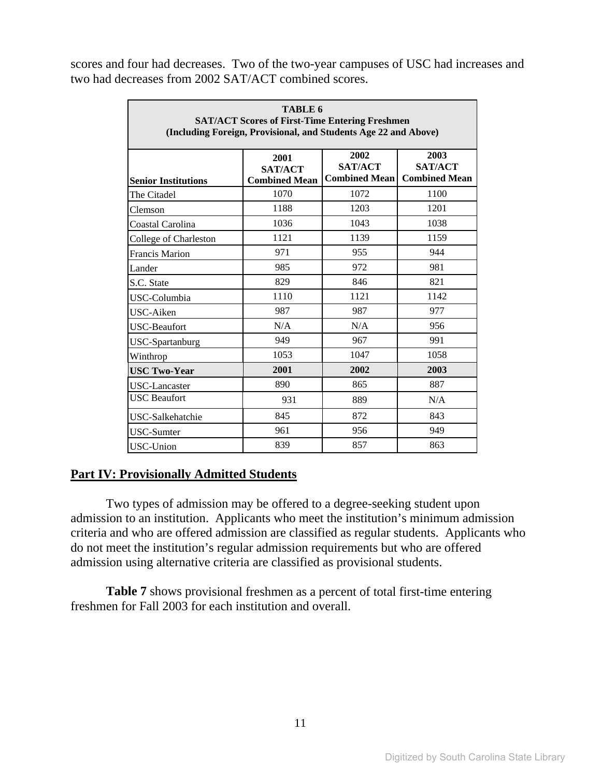scores and four had decreases. Two of the two-year campuses of USC had increases and two had decreases from 2002 SAT/ACT combined scores.

| TABLE 6<br><b>SAT/ACT Scores of First-Time Entering Freshmen</b><br>(Including Foreign, Provisional, and Students Age 22 and Above) |                                                |                                                |                                                |  |  |  |  |  |
|-------------------------------------------------------------------------------------------------------------------------------------|------------------------------------------------|------------------------------------------------|------------------------------------------------|--|--|--|--|--|
| <b>Senior Institutions</b>                                                                                                          | 2001<br><b>SAT/ACT</b><br><b>Combined Mean</b> | 2002<br><b>SAT/ACT</b><br><b>Combined Mean</b> | 2003<br><b>SAT/ACT</b><br><b>Combined Mean</b> |  |  |  |  |  |
| The Citadel                                                                                                                         | 1070                                           | 1072                                           | 1100                                           |  |  |  |  |  |
| Clemson                                                                                                                             | 1188                                           | 1203                                           | 1201                                           |  |  |  |  |  |
| Coastal Carolina                                                                                                                    | 1036                                           | 1043                                           | 1038                                           |  |  |  |  |  |
| College of Charleston                                                                                                               | 1121                                           | 1139                                           | 1159                                           |  |  |  |  |  |
| <b>Francis Marion</b>                                                                                                               | 971                                            | 955                                            | 944                                            |  |  |  |  |  |
| Lander                                                                                                                              | 985                                            | 972                                            | 981                                            |  |  |  |  |  |
| S.C. State                                                                                                                          | 829                                            | 846                                            | 821                                            |  |  |  |  |  |
| USC-Columbia                                                                                                                        | 1110                                           | 1121                                           | 1142                                           |  |  |  |  |  |
| USC-Aiken                                                                                                                           | 987                                            | 987                                            | 977                                            |  |  |  |  |  |
| <b>USC-Beaufort</b>                                                                                                                 | N/A                                            | N/A                                            | 956                                            |  |  |  |  |  |
| USC-Spartanburg                                                                                                                     | 949                                            | 967                                            | 991                                            |  |  |  |  |  |
| Winthrop                                                                                                                            | 1053                                           | 1047                                           | 1058                                           |  |  |  |  |  |
| <b>USC Two-Year</b>                                                                                                                 | 2001                                           | 2002                                           | 2003                                           |  |  |  |  |  |
| <b>USC-Lancaster</b>                                                                                                                | 890                                            | 865                                            | 887                                            |  |  |  |  |  |
| <b>USC Beaufort</b>                                                                                                                 | 931                                            | 889                                            | N/A                                            |  |  |  |  |  |
| USC-Salkehatchie                                                                                                                    | 845                                            | 872                                            | 843                                            |  |  |  |  |  |
| <b>USC-Sumter</b>                                                                                                                   | 961                                            | 956                                            | 949                                            |  |  |  |  |  |
| <b>USC-Union</b>                                                                                                                    | 839                                            | 857                                            | 863                                            |  |  |  |  |  |

# **Part IV: Provisionally Admitted Students**

Two types of admission may be offered to a degree-seeking student upon admission to an institution. Applicants who meet the institution's minimum admission criteria and who are offered admission are classified as regular students. Applicants who do not meet the institution's regular admission requirements but who are offered admission using alternative criteria are classified as provisional students.

**Table 7** shows provisional freshmen as a percent of total first-time entering freshmen for Fall 2003 for each institution and overall.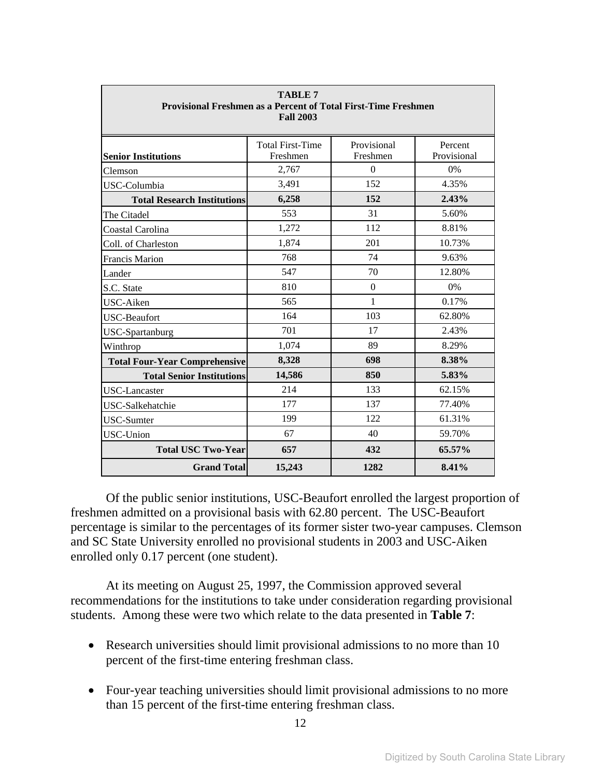| TABLE 7<br><b>Provisional Freshmen as a Percent of Total First-Time Freshmen</b><br><b>Fall 2003</b> |                                     |                         |                        |  |  |  |  |
|------------------------------------------------------------------------------------------------------|-------------------------------------|-------------------------|------------------------|--|--|--|--|
| <b>Senior Institutions</b>                                                                           | <b>Total First-Time</b><br>Freshmen | Provisional<br>Freshmen | Percent<br>Provisional |  |  |  |  |
| Clemson                                                                                              | 2,767                               | $\theta$                | $0\%$                  |  |  |  |  |
| USC-Columbia                                                                                         | 3,491                               | 152                     | 4.35%                  |  |  |  |  |
| <b>Total Research Institutions</b>                                                                   | 6,258                               | 152                     | 2.43%                  |  |  |  |  |
| The Citadel                                                                                          | 553                                 | 31                      | 5.60%                  |  |  |  |  |
| Coastal Carolina                                                                                     | 1.272                               | 112                     | 8.81%                  |  |  |  |  |
| Coll. of Charleston                                                                                  | 1,874                               | 201                     | 10.73%                 |  |  |  |  |
| <b>Francis Marion</b>                                                                                | 768                                 | 74                      | 9.63%                  |  |  |  |  |
| Lander                                                                                               | 547                                 | 70                      | 12.80%                 |  |  |  |  |
| S.C. State                                                                                           | 810                                 | $\Omega$                | 0%                     |  |  |  |  |
| USC-Aiken                                                                                            | 565                                 | 1                       | 0.17%                  |  |  |  |  |
| <b>USC-Beaufort</b>                                                                                  | 164                                 | 103                     | 62.80%                 |  |  |  |  |
| <b>USC-Spartanburg</b>                                                                               | 701                                 | 17                      | 2.43%                  |  |  |  |  |
| Winthrop                                                                                             | 1,074                               | 89                      | 8.29%                  |  |  |  |  |
| <b>Total Four-Year Comprehensive</b>                                                                 | 8,328                               | 698                     | 8.38%                  |  |  |  |  |
| <b>Total Senior Institutions</b>                                                                     | 14,586                              | 850                     | 5.83%                  |  |  |  |  |
| <b>USC-Lancaster</b>                                                                                 | 214                                 | 133                     | 62.15%                 |  |  |  |  |
| USC-Salkehatchie                                                                                     | 177                                 | 137                     | 77.40%                 |  |  |  |  |
| <b>USC-Sumter</b>                                                                                    | 199                                 | 122                     | 61.31%                 |  |  |  |  |
| <b>USC-Union</b>                                                                                     | 67                                  | 40                      | 59.70%                 |  |  |  |  |
| <b>Total USC Two-Year</b>                                                                            | 657                                 | 432                     | 65.57%                 |  |  |  |  |
| <b>Grand Total</b>                                                                                   | 15,243                              | 1282                    | 8.41%                  |  |  |  |  |

Of the public senior institutions, USC-Beaufort enrolled the largest proportion of freshmen admitted on a provisional basis with 62.80 percent. The USC-Beaufort percentage is similar to the percentages of its former sister two-year campuses. Clemson and SC State University enrolled no provisional students in 2003 and USC-Aiken enrolled only 0.17 percent (one student).

At its meeting on August 25, 1997, the Commission approved several recommendations for the institutions to take under consideration regarding provisional students. Among these were two which relate to the data presented in **Table 7**:

- Research universities should limit provisional admissions to no more than 10 percent of the first-time entering freshman class.
- Four-year teaching universities should limit provisional admissions to no more than 15 percent of the first-time entering freshman class.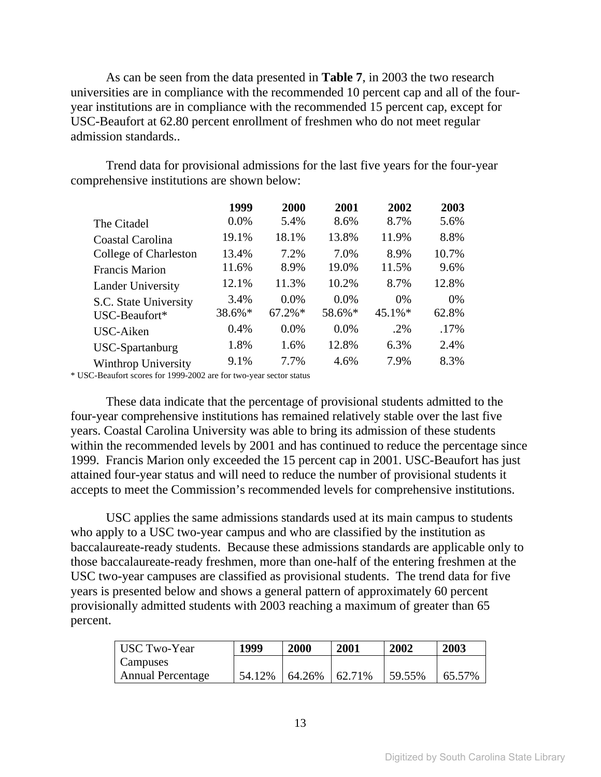As can be seen from the data presented in **Table 7**, in 2003 the two research universities are in compliance with the recommended 10 percent cap and all of the fouryear institutions are in compliance with the recommended 15 percent cap, except for USC-Beaufort at 62.80 percent enrollment of freshmen who do not meet regular admission standards..

Trend data for provisional admissions for the last five years for the four-year comprehensive institutions are shown below:

|                          | 1999   | 2000       | 2001   | 2002       | 2003  |
|--------------------------|--------|------------|--------|------------|-------|
| The Citadel              | 0.0%   | 5.4%       | 8.6%   | 8.7%       | 5.6%  |
| Coastal Carolina         | 19.1%  | 18.1%      | 13.8%  | 11.9%      | 8.8%  |
| College of Charleston    | 13.4%  | 7.2%       | 7.0%   | 8.9%       | 10.7% |
| <b>Francis Marion</b>    | 11.6%  | 8.9%       | 19.0%  | 11.5%      | 9.6%  |
| <b>Lander University</b> | 12.1%  | 11.3%      | 10.2%  | 8.7%       | 12.8% |
| S.C. State University    | 3.4%   | 0.0%       | 0.0%   | $0\%$      | $0\%$ |
| USC-Beaufort*            | 38.6%* | $67.2\%$ * | 58.6%* | $45.1\%$ * | 62.8% |
| USC-Aiken                | 0.4%   | 0.0%       | 0.0%   | .2%        | .17%  |
| USC-Spartanburg          | 1.8%   | 1.6%       | 12.8%  | 6.3%       | 2.4%  |
| Winthrop University      | 9.1%   | 7.7%       | 4.6%   | 7.9%       | 8.3%  |

\* USC-Beaufort scores for 1999-2002 are for two-year sector status

These data indicate that the percentage of provisional students admitted to the four-year comprehensive institutions has remained relatively stable over the last five years. Coastal Carolina University was able to bring its admission of these students within the recommended levels by 2001 and has continued to reduce the percentage since 1999. Francis Marion only exceeded the 15 percent cap in 2001. USC-Beaufort has just attained four-year status and will need to reduce the number of provisional students it accepts to meet the Commission's recommended levels for comprehensive institutions.

USC applies the same admissions standards used at its main campus to students who apply to a USC two-year campus and who are classified by the institution as baccalaureate-ready students. Because these admissions standards are applicable only to those baccalaureate-ready freshmen, more than one-half of the entering freshmen at the USC two-year campuses are classified as provisional students. The trend data for five years is presented below and shows a general pattern of approximately 60 percent provisionally admitted students with 2003 reaching a maximum of greater than 65 percent.

| USC Two-Year             | 1999   | <b>2000</b> | 2001      | 2002   | 2003   |
|--------------------------|--------|-------------|-----------|--------|--------|
| Campuses                 |        |             |           |        |        |
| <b>Annual Percentage</b> | 54.12% | 64.26%      | $62.71\%$ | 59.55% | 65.57% |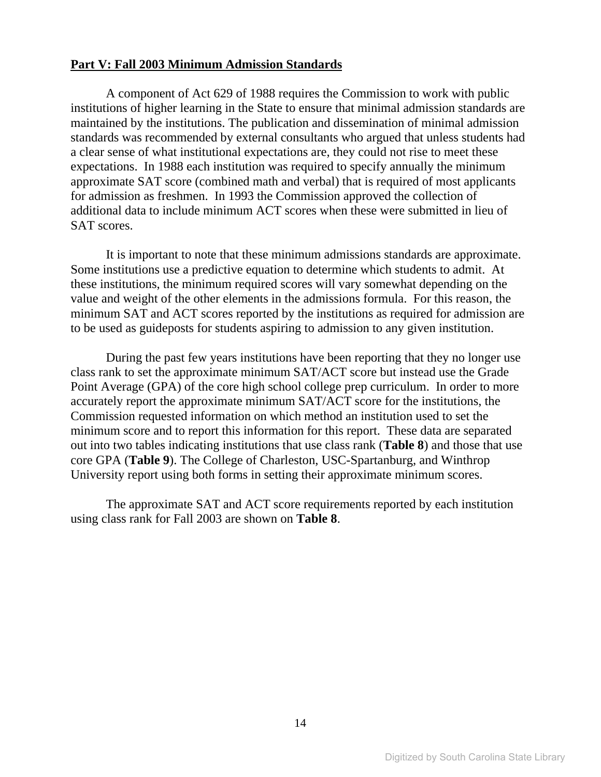#### **Part V: Fall 2003 Minimum Admission Standards**

A component of Act 629 of 1988 requires the Commission to work with public institutions of higher learning in the State to ensure that minimal admission standards are maintained by the institutions. The publication and dissemination of minimal admission standards was recommended by external consultants who argued that unless students had a clear sense of what institutional expectations are, they could not rise to meet these expectations. In 1988 each institution was required to specify annually the minimum approximate SAT score (combined math and verbal) that is required of most applicants for admission as freshmen. In 1993 the Commission approved the collection of additional data to include minimum ACT scores when these were submitted in lieu of SAT scores.

It is important to note that these minimum admissions standards are approximate. Some institutions use a predictive equation to determine which students to admit. At these institutions, the minimum required scores will vary somewhat depending on the value and weight of the other elements in the admissions formula. For this reason, the minimum SAT and ACT scores reported by the institutions as required for admission are to be used as guideposts for students aspiring to admission to any given institution.

During the past few years institutions have been reporting that they no longer use class rank to set the approximate minimum SAT/ACT score but instead use the Grade Point Average (GPA) of the core high school college prep curriculum. In order to more accurately report the approximate minimum SAT/ACT score for the institutions, the Commission requested information on which method an institution used to set the minimum score and to report this information for this report. These data are separated out into two tables indicating institutions that use class rank (**Table 8**) and those that use core GPA (**Table 9**). The College of Charleston, USC-Spartanburg, and Winthrop University report using both forms in setting their approximate minimum scores.

The approximate SAT and ACT score requirements reported by each institution using class rank for Fall 2003 are shown on **Table 8**.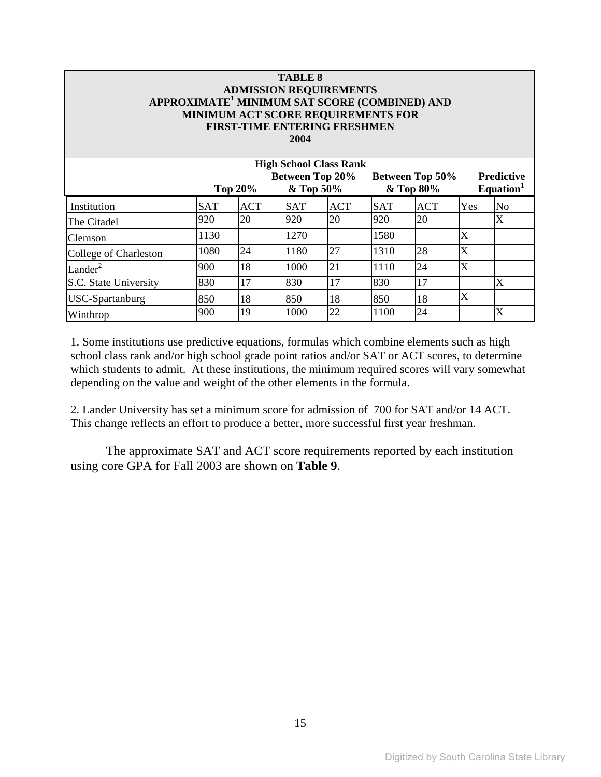| <b>TABLE 8</b><br><b>ADMISSION REQUIREMENTS</b><br>APPROXIMATE <sup>1</sup> MINIMUM SAT SCORE (COMBINED) AND<br>MINIMUM ACT SCORE REQUIREMENTS FOR<br><b>FIRST-TIME ENTERING FRESHMEN</b><br>2004 |            |            |            |            |            |            |                           |                |
|---------------------------------------------------------------------------------------------------------------------------------------------------------------------------------------------------|------------|------------|------------|------------|------------|------------|---------------------------|----------------|
| <b>High School Class Rank</b><br>Between Top 20%<br><b>Predictive</b><br><b>Between Top 50%</b><br>Equation <sup>1</sup><br>$&$ Top 50%<br>& Top 80%<br><b>Top 20%</b>                            |            |            |            |            |            |            |                           |                |
| Institution                                                                                                                                                                                       | <b>SAT</b> | <b>ACT</b> | <b>SAT</b> | <b>ACT</b> | <b>SAT</b> | <b>ACT</b> | Yes                       | $\rm No$       |
| The Citadel                                                                                                                                                                                       | 920        | 20         | 920        | 20         | 920        | 20         |                           | $\overline{X}$ |
| Clemson                                                                                                                                                                                           | 1130       |            | 1270       |            | 1580       |            | $\boldsymbol{\mathrm{X}}$ |                |
| College of Charleston                                                                                                                                                                             | 1080       | 24         | 1180       | 27         | 1310       | 28         | $\mathbf X$               |                |
| Lander $2$                                                                                                                                                                                        | 900        | 18         | 1000       | 21         | 1110       | 24         | $\overline{X}$            |                |
| S.C. State University                                                                                                                                                                             | 830        | 17         | 830        | 17         | 830        | 17         |                           | X              |
| <b>USC-Spartanburg</b>                                                                                                                                                                            | 850        | 18         | 850        | 18         | 850        | 18         | $\overline{X}$            |                |
| Winthrop                                                                                                                                                                                          | 900        | 19         | 1000       | 22         | 1100       | 24         |                           | X              |

1. Some institutions use predictive equations, formulas which combine elements such as high school class rank and/or high school grade point ratios and/or SAT or ACT scores, to determine which students to admit. At these institutions, the minimum required scores will vary somewhat depending on the value and weight of the other elements in the formula.

2. Lander University has set a minimum score for admission of 700 for SAT and/or 14 ACT. This change reflects an effort to produce a better, more successful first year freshman.

The approximate SAT and ACT score requirements reported by each institution using core GPA for Fall 2003 are shown on **Table 9**.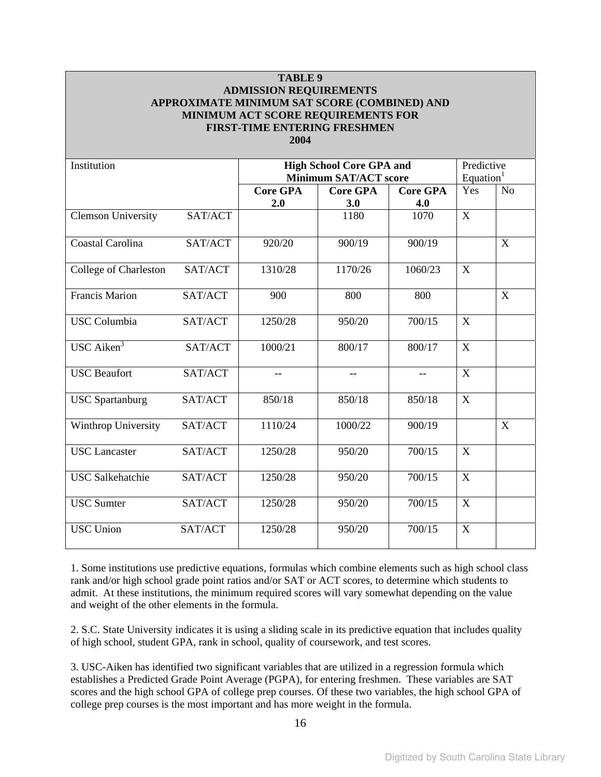#### **TABLE 9 ADMISSION REQUIREMENTS APPROXIMATE MINIMUM SAT SCORE (COMBINED) AND MINIMUM ACT SCORE REQUIREMENTS FOR FIRST-TIME ENTERING FRESHMEN 2004**

| Institution               |         | <b>High School Core GPA and</b><br><b>Minimum SAT/ACT score</b> | Predictive<br>Equation <sup>1</sup> |                        |                |                |
|---------------------------|---------|-----------------------------------------------------------------|-------------------------------------|------------------------|----------------|----------------|
|                           |         | <b>Core GPA</b><br>2.0                                          | <b>Core GPA</b><br>3.0              | <b>Core GPA</b><br>4.0 | Yes            | N <sub>o</sub> |
| <b>Clemson University</b> | SAT/ACT |                                                                 | 1180                                | 1070                   | $\overline{X}$ |                |
| Coastal Carolina          | SAT/ACT | 920/20                                                          | 900/19                              | 900/19                 |                | $\mathbf X$    |
| College of Charleston     | SAT/ACT | 1310/28                                                         | 1170/26                             | 1060/23                | X              |                |
| Francis Marion            | SAT/ACT | 900                                                             | 800                                 | 800                    |                | X              |
| <b>USC</b> Columbia       | SAT/ACT | 1250/28                                                         | 950/20                              | 700/15                 | X              |                |
| USC Aiken $3$             | SAT/ACT | 1000/21                                                         | 800/17                              | 800/17                 | X              |                |
| <b>USC Beaufort</b>       | SAT/ACT | $-$                                                             | $-$                                 | $-$                    | X              |                |
| <b>USC</b> Spartanburg    | SAT/ACT | 850/18                                                          | 850/18                              | 850/18                 | X              |                |
| Winthrop University       | SAT/ACT | 1110/24                                                         | 1000/22                             | 900/19                 |                | X              |
| <b>USC</b> Lancaster      | SAT/ACT | 1250/28                                                         | 950/20                              | 700/15                 | X              |                |
| <b>USC Salkehatchie</b>   | SAT/ACT | 1250/28                                                         | 950/20                              | 700/15                 | X              |                |
| <b>USC</b> Sumter         | SAT/ACT | 1250/28                                                         | 950/20                              | 700/15                 | $\mathbf X$    |                |
| <b>USC</b> Union          | SAT/ACT | 1250/28                                                         | 950/20                              | 700/15                 | $\mathbf X$    |                |

1. Some institutions use predictive equations, formulas which combine elements such as high school class rank and/or high school grade point ratios and/or SAT or ACT scores, to determine which students to admit. At these institutions, the minimum required scores will vary somewhat depending on the value and weight of the other elements in the formula.

2. S.C. State University indicates it is using a sliding scale in its predictive equation that includes quality of high school, student GPA, rank in school, quality of coursework, and test scores.

3. USC-Aiken has identified two significant variables that are utilized in a regression formula which establishes a Predicted Grade Point Average (PGPA), for entering freshmen. These variables are SAT scores and the high school GPA of college prep courses. Of these two variables, the high school GPA of college prep courses is the most important and has more weight in the formula.